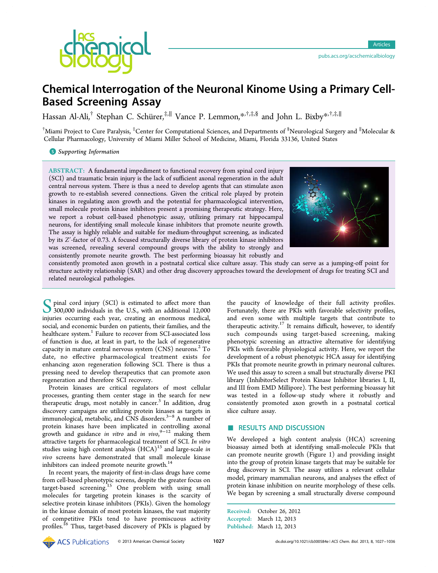

# Chemical Interrogation of the Neuronal Kinome Using a Primary Cell-Based Screening Assay

Hassan Al-Ali,<sup>†</sup> Stephan C. Schürer,<sup>‡,∥</sup> Vance P. Lemmon,[\\*](#page-8-0)<sup>,†,‡,§</sup> and John L. Bixby\*<sup>,†,‡,∥</sup>

 $^\dagger$ Miami Project to Cure Paralysis,  $^\ddagger$ Center for Computational Sciences, and Departments of  $^8$ Neurological Surgery and  $^{\parallel}$ Molecular & Cellular Pharmacology, University of Miami Miller School of Medicine, Miami, Florida 33136, United States

**S** [Supporting Information](#page-8-0)

ABSTRACT: A fundamental impediment to functional recovery from spinal cord injury (SCI) and traumatic brain injury is the lack of sufficient axonal regeneration in the adult central nervous system. There is thus a need to develop agents that can stimulate axon growth to re-establish severed connections. Given the critical role played by protein kinases in regulating axon growth and the potential for pharmacological intervention, small molecule protein kinase inhibitors present a promising therapeutic strategy. Here, we report a robust cell-based phenotypic assay, utilizing primary rat hippocampal neurons, for identifying small molecule kinase inhibitors that promote neurite growth. The assay is highly reliable and suitable for medium-throughput screening, as indicated by its Z′-factor of 0.73. A focused structurally diverse library of protein kinase inhibitors was screened, revealing several compound groups with the ability to strongly and consistently promote neurite growth. The best performing bioassay hit robustly and



consistently promoted axon growth in a postnatal cortical slice culture assay. This study can serve as a jumping-off point for structure activity relationship (SAR) and other drug discovery approaches toward the development of drugs for treating SCI and related neurological pathologies.

S pinal cord injury (SCI) is estimated to affect more than<br>300,000 individuals in the U.S., with an additional 12,000<br>injuries occurring each wear, creating an anormous medical injuries occurring each year, creating an enormous medical, social, and economic burden on patients, their families, and the healthcare system.<sup>[1](#page-8-0)</sup> Failure to recover from SCI-associated loss of function is due, at least in part, to the lack of regenerative capacity in mature central nervous system  $(CNS)$  neurons.<sup>[2](#page-8-0)</sup> To date, no effective pharmacological treatment exists for enhancing axon regeneration following SCI. There is thus a pressing need to develop therapeutics that can promote axon regeneration and therefore SCI recovery.

Protein kinases are critical regulators of most cellular processes, granting them center stage in the search for new therapeutic drugs, most notably in cancer. $3$  In addition, drug discovery campaigns are utilizing protein kinases as targets in immunological, metabolic, and CNS disorders.[3](#page-8-0)−[8](#page-8-0) A number of protein kinases have been implicated in controlling axonal growth and guidance in vitro and in vivo, [9](#page-8-0)−[12](#page-8-0) making them attractive targets for pharmacological treatment of SCI. In vitro studies using high content analysis  $(HCA)^{13}$  $(HCA)^{13}$  $(HCA)^{13}$  and large-scale in vivo screens have demonstrated that small molecule kinase inhibitors can indeed promote neurite growth.<sup>[14](#page-8-0)</sup>

In recent years, the majority of first-in-class drugs have come from cell-based phenotypic screens, despite the greater focus on target-based screening.[15](#page-8-0) One problem with using small molecules for targeting protein kinases is the scarcity of selective protein kinase inhibitors (PKIs). Given the homology in the kinase domain of most protein kinases, the vast majority of competitive PKIs tend to have promiscuous activity profiles.<sup>[16](#page-8-0)</sup> Thus, target-based discovery of PKIs is plagued by

the paucity of knowledge of their full activity profiles. Fortunately, there are PKIs with favorable selectivity profiles, and even some with multiple targets that contribute to therapeutic activity.<sup>[17](#page-8-0)</sup> It remains difficult, however, to identify such compounds using target-based screening, making phenotypic screening an attractive alternative for identifying PKIs with favorable physiological activity. Here, we report the development of a robust phenotypic HCA assay for identifying PKIs that promote neurite growth in primary neuronal cultures. We used this assay to screen a small but structurally diverse PKI library (InhibitorSelect Protein Kinase Inhibitor libraries I, II, and III from EMD Millipore). The best performing bioassay hit was tested in a follow-up study where it robustly and consistently promoted axon growth in a postnatal cortical slice culture assay.

## ■ RESULTS AND DISCUSSION

We developed a high content analysis (HCA) screening bioassay aimed both at identifying small-molecule PKIs that can promote neurite growth (Figure [1](#page-1-0)) and providing insight into the group of protein kinase targets that may be suitable for drug discovery in SCI. The assay utilizes a relevant cellular model, primary mammalian neurons, and analyses the effect of protein kinase inhibition on neurite morphology of these cells. We began by screening a small structurally diverse compound

Received: October 26, 2012 Accepted: March 12, 2013 Published: March 12, 2013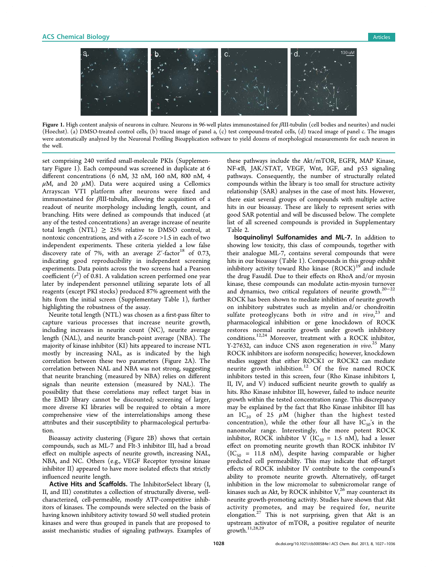<span id="page-1-0"></span>

Figure 1. High content analysis of neurons in culture. Neurons in 96-well plates immunostained for βIII-tubulin (cell bodies and neurites) and nuclei (Hoechst). (a) DMSO-treated control cells, (b) traced image of panel a, (c) test compound-treated cells, (d) traced image of panel c. The images were automatically analyzed by the Neuronal Profiling Bioapplication software to yield dozens of morphological measurements for each neuron in the well.

set comprising 240 verified small-molecule PKIs [\(Supplemen](#page-8-0)[tary Figure 1](#page-8-0)). Each compound was screened in duplicate at 6 different concentrations (6 nM, 32 nM, 160 nM, 800 nM, 4  $\mu$ M, and 20  $\mu$ M). Data were acquired using a Cellomics Arrayscan VTI platform after neurons were fixed and immunostained for  $\beta$ III-tubulin, allowing the acquisition of a readout of neurite morphology including length, count, and branching. Hits were defined as compounds that induced (at any of the tested concentrations) an average increase of neurite total length (NTL)  $\geq$  25% relative to DMSO control, at nontoxic concentrations, and with a Z-score >1.5 in each of two independent experiments. These criteria yielded a low false discovery rate of 7%, with an average  $Z'$ -factor<sup>[18](#page-8-0)</sup> of 0.73, indicating good reproducibility in independent screening experiments. Data points across the two screens had a Pearson coefficient  $(r^2)$  of 0.81. A validation screen performed one year later by independent personnel utilizing separate lots of all reagents (except PKI stocks) produced 87% agreement with the hits from the initial screen [\(Supplementary Table 1\)](#page-8-0), further highlighting the robustness of the assay.

Neurite total length (NTL) was chosen as a first-pass filter to capture various processes that increase neurite growth, including increases in neurite count (NC), neurite average length (NAL), and neurite branch-point average (NBA). The majority of kinase inhibitor (KI) hits appeared to increase NTL mostly by increasing NAL, as is indicated by the high correlation between these two parameters (Figure [2](#page-2-0)A). The correlation between NAL and NBA was not strong, suggesting that neurite branching (measured by NBA) relies on different signals than neurite extension (measured by NAL). The possibility that these correlations may reflect target bias in the EMD library cannot be discounted; screening of larger, more diverse KI libraries will be required to obtain a more comprehensive view of the interrelationships among these attributes and their susceptibility to pharmacological perturbation.

Bioassay activity clustering (Figure [2B](#page-2-0)) shows that certain compounds, such as ML-7 and Flt-3 inhibitor III, had a broad effect on multiple aspects of neurite growth, increasing NAL, NBA, and NC. Others (e.g., VEGF Receptor tyrosine kinase inhibitor II) appeared to have more isolated effects that strictly influenced neurite length.

Active Hits and Scaffolds. The InhibitorSelect library (I, II, and III) constitutes a collection of structurally diverse, wellcharacterized, cell-permeable, mostly ATP-competitive inhibitors of kinases. The compounds were selected on the basis of having known inhibitory activity toward 50 well studied protein kinases and were thus grouped in panels that are proposed to assist mechanistic studies of signaling pathways. Examples of

these pathways include the Akt/mTOR, EGFR, MAP Kinase, NF-κB, JAK/STAT, VEGF, Wnt, IGF, and p53 signaling pathways. Consequently, the number of structurally related compounds within the library is too small for structure activity relationship (SAR) analyses in the case of most hits. However, there exist several groups of compounds with multiple active hits in our bioassay. These are likely to represent series with good SAR potential and will be discussed below. The complete list of all screened compounds is provided in [Supplementary](#page-8-0) [Table 2](#page-8-0).

Isoquinolinyl Sulfonamides and ML-7. In addition to showing low toxicity, this class of compounds, together with their analogue ML-7, contains several compounds that were hits in our bioassay (Table [1](#page-3-0)). Compounds in this group exhibit inhibitory activity toward Rho kinase  $(ROCK)^{19}$  $(ROCK)^{19}$  $(ROCK)^{19}$  and include the drug Fasudil. Due to their effects on RhoA and/or myosin kinase, these compounds can modulate actin-myosin turnover and dynamics, two critical regulators of neurite growth.[20](#page-8-0)−[22](#page-8-0) ROCK has been shown to mediate inhibition of neurite growth on inhibitory substrates such as myelin and/or chondroitin sulfate proteoglycans both in vitro and in vivo,  $2^3$  and pharmacological inhibition or gene knockdown of ROCK restores normal neurite growth under growth inhibitory conditions.[12](#page-8-0),[24](#page-8-0) Moreover, treatment with a ROCK inhibitor, Y-27632, can induce CNS axon regeneration in vivo.<sup>[25](#page-8-0)</sup> Many ROCK inhibitors are isoform nonspecific; however, knockdown studies suggest that either ROCK1 or ROCK2 can mediate neurite growth inhibition.<sup>[12](#page-8-0)</sup> Of the five named ROCK inhibitors tested in this screen, four (Rho Kinase inhibitors I, II, IV, and V) induced sufficient neurite growth to qualify as hits. Rho Kinase inhibitor III, however, failed to induce neurite growth within the tested concentration range. This discrepancy may be explained by the fact that Rho Kinase inhibitor III has an  $IC_{50}$  of 25  $\mu$ M (higher than the highest tested concentration), while the other four all have  $IC_{50}$ 's in the nanomolar range. Interestingly, the more potent ROCK inhibitor, ROCK inhibitor V (IC<sub>50</sub> = 1.5 nM), had a lesser effect on promoting neurite growth than ROCK inhibitor IV  $(IC_{50} = 11.8 \text{ nM})$ , despite having comparable or higher predicted cell permeability. This may indicate that off-target effects of ROCK inhibitor IV contribute to the compound's ability to promote neurite growth. Alternatively, off-target inhibition in the low micromolar to submicromolar range of kinases such as Akt, by ROCK inhibitor  $V<sub>1</sub><sup>26</sup>$  $V<sub>1</sub><sup>26</sup>$  $V<sub>1</sub><sup>26</sup>$  may counteract its neurite growth-promoting activity. Studies have shown that Akt activity promotes, and may be required for, neurite elongation.[27](#page-8-0) This is not surprising, given that Akt is an upstream activator of mTOR, a positive regulator of neurite growth.<sup>[11](#page-8-0),[28,29](#page-9-0)</sup>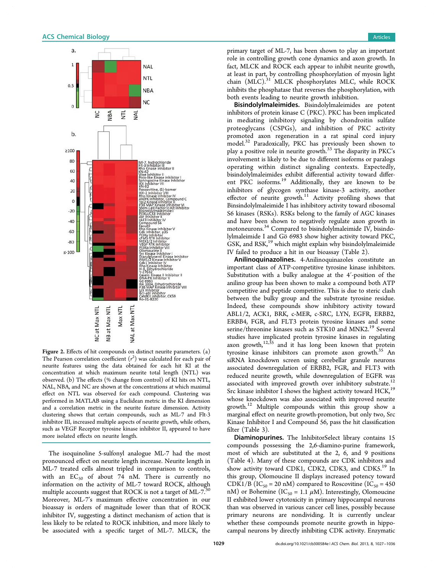<span id="page-2-0"></span>

Figure 2. Effects of hit compounds on distinct neurite parameters. (a) The Pearson correlation coefficient  $(r^2)$  was calculated for each pair of neurite features using the data obtained for each hit KI at the concentration at which maximum neurite total length (NTL) was observed. (b) The effects (% change from control) of KI hits on NTL, NAL, NBA, and NC are shown at the concentrations at which maximal effect on NTL was observed for each compound. Clustering was performed in MATLAB using a Euclidean metric in the KI dimension and a correlation metric in the neurite feature dimension. Activity clustering shows that certain compounds, such as ML-7 and Flt-3 inhibitor III, increased multiple aspects of neurite growth, while others, such as VEGF Receptor tyrosine kinase inhibitor II, appeared to have more isolated effects on neurite length.

The isoquinoline 5-sulfonyl analogue ML-7 had the most pronounced effect on neurite length increase. Neurite length in ML-7 treated cells almost tripled in comparison to controls, with an  $EC_{50}$  of about 74 nM. There is currently no information on the activity of ML-7 toward ROCK, although multiple accounts suggest that ROCK is not a target of ML-7.<sup>[30](#page-9-0)</sup> Moreover, ML-7's maximum effective concentration in our bioassay is orders of magnitude lower than that of ROCK inhibitor IV, suggesting a distinct mechanism of action that is less likely to be related to ROCK inhibition, and more likely to be associated with a specific target of ML-7. MLCK, the

primary target of ML-7, has been shown to play an important role in controlling growth cone dynamics and axon growth. In fact, MLCK and ROCK each appear to inhibit neurite growth, at least in part, by controlling phosphorylation of myosin light chain (MLC).<sup>[31](#page-9-0)</sup> MLCK phosphorylates MLC, while ROCK inhibits the phosphatase that reverses the phosphorylation, with both events leading to neurite growth inhibition.

Bisindolylmaleimides. Bisindolylmaleimides are potent inhibitors of protein kinase C (PKC). PKC has been implicated in mediating inhibitory signaling by chondroitin sulfate proteoglycans (CSPGs), and inhibition of PKC activity promoted axon regeneration in a rat spinal cord injury model.[32](#page-9-0) Paradoxically, PKC has previously been shown to play a positive role in neurite growth.[33](#page-9-0) The disparity in PKC's involvement is likely to be due to different isoforms or paralogs operating within distinct signaling contexts. Expectedly, bisindolylmaleimides exhibit differential activity toward differ-ent PKC isoforms.<sup>[19](#page-8-0)</sup> Additionally, they are known to be inhibitors of glycogen synthase kinase-3 activity, another effector of neurite growth.<sup>[11](#page-8-0)</sup> Activity profiling shows that Binsindolylmaleimide I has inhibitory activity toward ribosomal S6 kinases (RSKs). RSKs belong to the family of AGC kinases and have been shown to negatively regulate axon growth in motoneurons.<sup>[34](#page-9-0)</sup> Compared to bisindolylmaleimide IV, bisindolylmaleimide I and Gö 6983 show higher activity toward PKC, GSK, and RSK,<sup>[19](#page-8-0)</sup> which might explain why bisindolylmaleimide IV failed to produce a hit in our bioassay (Table [2](#page-3-0)).

Anilinoquinazolines. 4-Anilinoquinazoles constitute an important class of ATP-competitive tyrosine kinase inhibitors. Substitution with a bulky analogue at the 4′-position of the anilino group has been shown to make a compound both ATP competitive and peptide competitive. This is due to steric clash between the bulky group and the substrate tyrosine residue. Indeed, these compounds show inhibitory activity toward ABL1/2, ACK1, BRK, c-MER, c-SRC, LYN, EGFR, ERBB2, ERBB4, FGR, and FLT3 protein tyrosine kinases and some serine/threonine kinases such as STK10 and MNK2.<sup>[19](#page-8-0)</sup> Several studies have implicated protein tyrosine kinases in regulating axon growth, $12,35$  $12,35$  and it has long been known that protein tyrosine kinase inhibitors can promote axon growth.<sup>[35](#page-9-0)</sup> An siRNA knockdown screen using cerebellar granule neurons associated downregulation of ERBB2, FGR, and FLT3 with reduced neurite growth, while downregulation of EGFR was associated with improved growth over inhibitory substrate.<sup>[12](#page-8-0)</sup> Src kinase inhibitor I shows the highest activity toward HCK,<sup>[19](#page-8-0)</sup> whose knockdown was also associated with improved neurite growth.[12](#page-8-0) Multiple compounds within this group show a marginal effect on neurite growth-promotion, but only two, Src Kinase Inhibitor I and Compound 56, pass the hit classification filter (Table [3\)](#page-4-0).

Diaminopurines. The InhibitorSelect library contains 15 compounds possessing the 2,6-diamino-purine framework, most of which are substituted at the 2, 6, and 9 positions (Table [4\)](#page-4-0). Many of these compounds are CDK inhibitors and show activity toward CDK1, CDK2, CDK3, and CDK5.<sup>[19](#page-8-0)</sup> In this group, Olomoucine II displays increased potency toward CDK1/B (IC<sub>50</sub> = 20 nM) compared to Roscovitine (IC<sub>50</sub> = 450 nM) or Bohemine (IC<sub>50</sub> = 1.1  $\mu$ M). Interestingly, Olomoucine II exhibited lower cytotoxicity in primary hippocampal neurons than was observed in various cancer cell lines, possibly because primary neurons are nondividing. It is currently unclear whether these compounds promote neurite growth in hippocampal neurons by directly inhibiting CDK activity. Enzymatic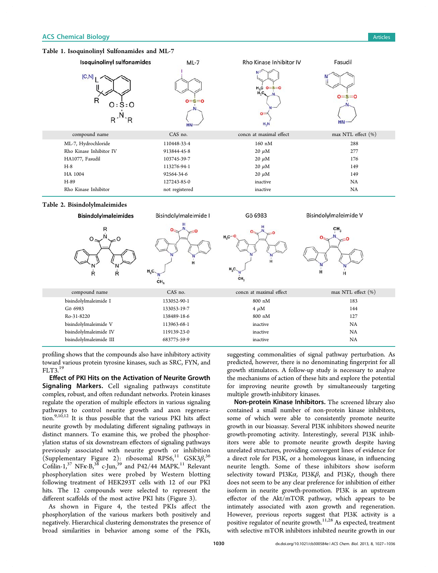## <span id="page-3-0"></span>Table 1. Isoquinolinyl Sulfonamides and ML-7



## Table 2. Bisindolylmaleimides



profiling shows that the compounds also have inhibitory activity toward various protein tyrosine kinases, such as SRC, FYN, and FLT3.[19](#page-8-0)

Effect of PKI Hits on the Activation of Neurite Growth Signaling Markers. Cell signaling pathways constitute complex, robust, and often redundant networks. Protein kinases regulate the operation of multiple effectors in various signaling pathways to control neurite growth and axon regenera $t$ <sup>1</sup>  $^{100}$ ,  $t^{9,10,12}$  $t^{9,10,12}$  $t^{9,10,12}$  $t^{9,10,12}$  $t^{9,10,12}$  It is thus possible that the various PKI hits affect neurite growth by modulating different signaling pathways in distinct manners. To examine this, we probed the phosphorylation status of six downstream effectors of signaling pathways previously associated with neurite growth or inhibition  $($ [Supplementary Figure 2](#page-8-0)): ribosomal RPS6, $^{11}$  $^{11}$  $^{11}$  GSK3 $\beta$ , $^{36}$  $^{36}$  $^{36}$ Cofilin-1,<sup>[37](#page-9-0)</sup> NF<sub>K</sub>-B<sub>2</sub><sup>[38](#page-9-0)</sup> c-Jun,<sup>[39](#page-9-0)</sup> and P42/44 MAPK.<sup>[11](#page-8-0)</sup> Relevant phosphorylation sites were probed by Western blotting following treatment of HEK293T cells with 12 of our PKI hits. The 12 compounds were selected to represent the different scaffolds of the most active PKI hits (Figure [3\)](#page-5-0).

As shown in Figure [4](#page-6-0), the tested PKIs affect the phosphorylation of the various markers both positively and negatively. Hierarchical clustering demonstrates the presence of broad similarities in behavior among some of the PKIs,

suggesting commonalities of signal pathway perturbation. As predicted, however, there is no denominating fingerprint for all growth stimulators. A follow-up study is necessary to analyze the mechanisms of action of these hits and explore the potential for improving neurite growth by simultaneously targeting multiple growth-inhibitory kinases.

Non-protein Kinase Inhibitors. The screened library also contained a small number of non-protein kinase inhibitors, some of which were able to consistently promote neurite growth in our bioassay. Several PI3K inhibitors showed neurite growth-promoting activity. Interestingly, several PI3K inhibitors were able to promote neurite growth despite having unrelated structures, providing convergent lines of evidence for a direct role for PI3K, or a homologous kinase, in influencing neurite length. Some of these inhibitors show isoform selectivity toward PI3K $\alpha$ , PI3K $\beta$ , and PI3K $\gamma$ , though there does not seem to be any clear preference for inhibition of either isoform in neurite growth-promotion. PI3K is an upstream effector of the Akt/mTOR pathway, which appears to be intimately associated with axon growth and regeneration. However, previous reports suggest that PI3K activity is a positive regulator of neurite growth.<sup>[11](#page-8-0),[28](#page-9-0)</sup> As expected, treatment with selective mTOR inhibitors inhibited neurite growth in our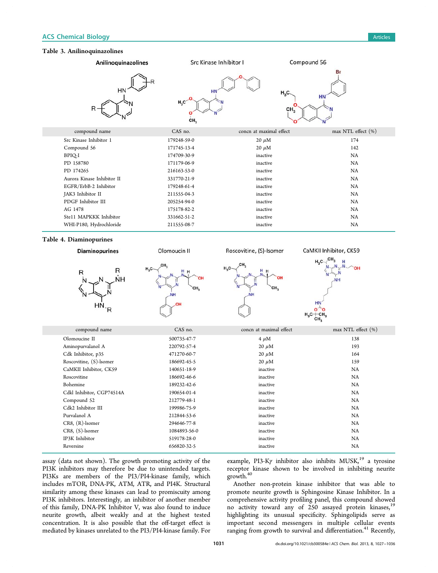## <span id="page-4-0"></span>Table 3. Anilinoquinazolines



assay (data not shown). The growth promoting activity of the PI3K inhibitors may therefore be due to unintended targets. PI3Ks are members of the PI3/PI4-kinase family, which includes mTOR, DNA-PK, ATM, ATR, and PI4K. Structural similarity among these kinases can lead to promiscuity among PI3K inhibitors. Interestingly, an inhibitor of another member of this family, DNA-PK Inhibitor V, was also found to induce neurite growth, albeit weakly and at the highest tested concentration. It is also possible that the off-target effect is mediated by kinases unrelated to the PI3/PI4-kinase family. For

example, PI3-K $\gamma$  inhibitor also inhibits MUSK,<sup>[19](#page-8-0)</sup> a tyrosine receptor kinase shown to be involved in inhibiting neurite growth.[40](#page-9-0)

Another non-protein kinase inhibitor that was able to promote neurite growth is Sphingosine Kinase Inhibitor. In a comprehensive activity profiling panel, this compound showed no activity toward any of 250 assayed protein kinases,<sup>[19](#page-8-0)</sup> highlighting its unusual specificity. Sphingolipids serve as important second messengers in multiple cellular events ranging from growth to survival and differentiation.<sup>[41](#page-9-0)</sup> Recently,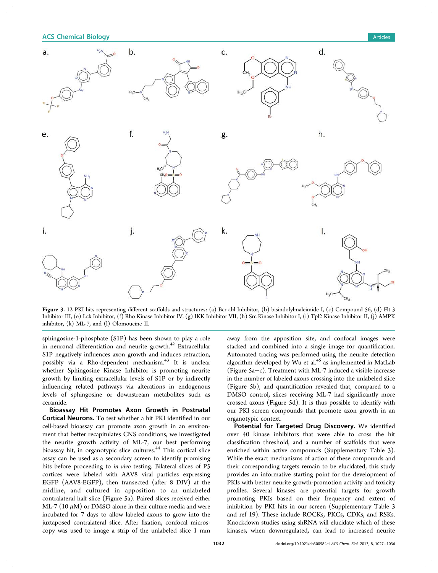## <span id="page-5-0"></span>**ACS Chemical Biology Articles Articles Articles Articles Articles Articles Articles Articles Articles**



Figure 3. 12 PKI hits representing different scaffolds and structures: (a) Bcr-abl Inhibitor, (b) bisindolylmaleimide I, (c) Compound 56, (d) Flt-3 Inhibitor III, (e) Lck Inhibitor, (f) Rho Kinase Inhibitor IV, (g) IKK Inhibitor VII, (h) Src Kinase Inhibitor I, (i) Tpl2 Kinase Inhibitor II, (j) AMPK inhibitor, (k) ML-7, and (l) Olomoucine II.

sphingosine-1-phosphate (S1P) has been shown to play a role in neuronal differentiation and neurite growth.<sup>[42](#page-9-0)</sup> Extracellular S1P negatively influences axon growth and induces retraction, possibly via a Rho-dependent mechanism.[43](#page-9-0) It is unclear whether Sphingosine Kinase Inhibitor is promoting neurite growth by limiting extracellular levels of S1P or by indirectly influencing related pathways via alterations in endogenous levels of sphingosine or downstream metabolites such as ceramide.

Bioassay Hit Promotes Axon Growth in Postnatal Cortical Neurons. To test whether a hit PKI identified in our cell-based bioassay can promote axon growth in an environment that better recapitulates CNS conditions, we investigated the neurite growth activity of ML-7, our best performing bioassay hit, in organotypic slice cultures.<sup>[44](#page-9-0)</sup> This cortical slice assay can be used as a secondary screen to identify promising hits before proceeding to in vivo testing. Bilateral slices of P5 cortices were labeled with AAV8 viral particles expressing EGFP (AAV8-EGFP), then transected (after 8 DIV) at the midline, and cultured in apposition to an unlabeled contralateral half slice (Figure [5](#page-7-0)a). Paired slices received either ML-7 (10  $\mu$ M) or DMSO alone in their culture media and were incubated for 7 days to allow labeled axons to grow into the juxtaposed contralateral slice. After fixation, confocal microscopy was used to image a strip of the unlabeled slice 1 mm

away from the apposition site, and confocal images were stacked and combined into a single image for quantification. Automated tracing was performed using the neurite detection algorithm developed by Wu et al.<sup>[45](#page-9-0)</sup> as implemented in MatLab (Figure [5a](#page-7-0)−c). Treatment with ML-7 induced a visible increase in the number of labeled axons crossing into the unlabeled slice (Figure [5b](#page-7-0)), and quantification revealed that, compared to a DMSO control, slices receiving ML-7 had significantly more crossed axons (Figure [5](#page-7-0)d). It is thus possible to identify with our PKI screen compounds that promote axon growth in an organotypic context.

Potential for Targeted Drug Discovery. We identified over 40 kinase inhibitors that were able to cross the hit classification threshold, and a number of scaffolds that were enriched within active compounds [\(Supplementary Table 3\)](#page-8-0). While the exact mechanisms of action of these compounds and their corresponding targets remain to be elucidated, this study provides an informative starting point for the development of PKIs with better neurite growth-promotion activity and toxicity profiles. Several kinases are potential targets for growth promoting PKIs based on their frequency and extent of inhibition by PKI hits in our screen ([Supplementary Table 3](#page-8-0) and ref [19\)](#page-8-0). These include ROCKs, PKCs, CDKs, and RSKs. Knockdown studies using shRNA will elucidate which of these kinases, when downregulated, can lead to increased neurite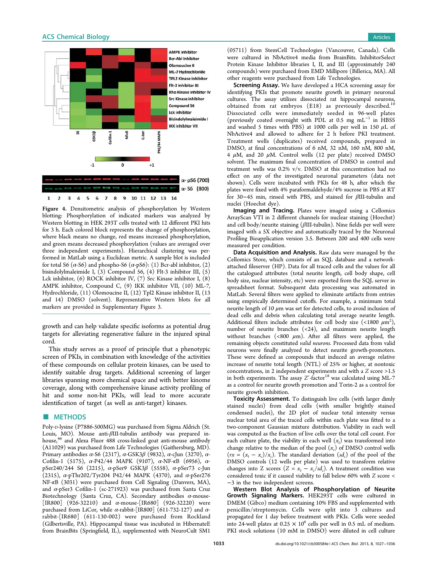## <span id="page-6-0"></span>**ACS Chemical Biology Articles Articles Articles Articles Articles Articles**



Figure 4. Densitometric analysis of phosphorylation by Western blotting: Phosphorylation of indicated markers was analyzed by Western blotting in HEK 293T cells treated with 12 different PKI hits for 3 h. Each colored block represents the change of phosphorylation, where black means no change, red means increased phosphorylation, and green means decreased phosphorylation (values are averaged over three independent experiments). Hierarchical clustering was performed in MatLab using a Euclidean metric. A sample blot is included for total S6 ( $\alpha$ -S6) and phospho-S6 ( $\alpha$ -pS6): (1) Bcr-abl inhibitor, (2) bisindolylmaleimide I, (3) Compound 56, (4) Flt-3 inhibitor III, (5) Lck inhibitor, (6) ROCK inhibitor IV, (7) Src Kinase inhibitor I, (8) AMPK inhibitor, Compound C, (9) IKK inhibitor VII, (10) ML-7, Hydrochloride, (11) Olomoucine II, (12) Tpl2 Kinase inhibitor II, (13 and 14) DMSO (solvent). Representative Western blots for all markers are provided in [Supplementary Figure 3](#page-8-0).

growth and can help validate specific isoforms as potential drug targets for alleviating regenerative failure in the injured spinal cord.

This study serves as a proof of principle that a phenotypic screen of PKIs, in combination with knowledge of the activities of these compounds on cellular protein kinases, can be used to identify suitable drug targets. Additional screening of larger libraries spanning more chemical space and with better kinome coverage, along with comprehensive kinase activity profiling of hit and some non-hit PKIs, will lead to more accurate identification of target (as well as anti-target) kinases.

## ■ METHODS

Poly-D-lysine (P7886-500MG) was purchased from Sigma Aldrich (St. Louis, MO). Mouse anti-βIII-tubulin antibody was prepared inhouse,<sup>46</sup> and Alexa Fluor 488 cross-linked goat anti-mouse antibody (A11029) was purchased from Life Technologies (Gaithersburg, MD). Primary antibodies  $\alpha$ -S6 (2317),  $\alpha$ -GSK3 $\beta$  (9832),  $\alpha$ -cJun (3270),  $\alpha$ -Cofilin-1 (5175), α-P42/44 MAPK (9107), α-NF-κB (6956), αpSer240/244 S6 (2215), α-pSer9 GSK3β (5558), α-pSer73 c-Jun (2315), α-pThr202/Tyr204 P42/44 MAPK (4370), and α-pSer276 NF-κB (3031) were purchased from Cell Signaling (Danvers, MA), and α-pSer3 Cofilin-1 (sc-271923) was purchased from Santa Cruz Biotechnology (Santa Cruz, CA). Secondary antibodies  $\alpha$ -mouse-[IR800] (926-32210) and  $\alpha$ -mouse-[IR680] (926-32220) were purchased from LiCor, while  $\alpha$ -rabbit-[IR800] (611-732-127) and  $\alpha$ rabbit-[IR680] (611-130-002) were purchased from Rockland (Gilbertsville, PA). Hippocampal tissue was incubated in HibernateE from BrainBits (Springfield, IL), supplemented with NeuroCult SM1

(05711) from StemCell Technologies (Vancouver, Canada). Cells were cultured in NbActive4 media from BrainBits. InhibitorSelect Protein Kinase Inhibitor libraries I, II, and III (approximately 240 compounds) were purchased from EMD Millipore (Billerica, MA). All other reagents were purchased from Life Technologies.

Screening Assay. We have developed a HCA screening assay for identifying PKIs that promote neurite growth in primary neuronal cultures. The assay utilizes dissociated rat hippocampal neurons, obtained from rat embryos (E18) as previously described.[10](#page-8-0) Dissociated cells were immediately seeded in 96-well plates (previously coated overnight with PDL at 0.5 mg  $mL^{-1}$  in HBSS and washed 5 times with PBS) at 1000 cells per well in 150  $\mu$ L of NbActive4 and allowed to adhere for 2 h before PKI treatment. Treatment wells (duplicates) received compounds, prepared in DMSO, at final concentrations of 6 nM, 32 nM, 160 nM, 800 nM, 4  $\mu$ M, and 20  $\mu$ M. Control wells (12 per plate) received DMSO solvent. The maximum final concentration of DMSO in control and treatment wells was 0.2% v/v. DMSO at this concentration had no effect on any of the investigated neuronal parameters (data not shown). Cells were incubated with PKIs for 48 h, after which the plates were fixed with 4% paraformaldehyde/4% sucrose in PBS at RT for 30−45 min, rinsed with PBS, and stained for βIII-tubulin and nuclei (Hoechst dye).

Imaging and Tracing. Plates were imaged using a Cellomics ArrayScan VTI in 2 different channels for nuclear staining (Hoechst) and cell body/neurite staining (βIII-tubulin). Nine fields per well were imaged with a 5X objective and automatically traced by the Neuronal Profiling Bioapplication version 3.5. Between 200 and 400 cells were measured per condition.

Data Acquisition and Analysis. Raw data were managed by the Cellomics Store, which consists of an SQL database and a networkattached fileserver (HP). Data for all traced cells and the values for all the catalogued attributes (total neurite length, cell body shape, cell body size, nuclear intensity, etc) were exported from the SQL server in spreadsheet format. Subsequent data processing was automated in MatLab. Several filters were applied to eliminate artifacts from entries using empirically determined cutoffs. For example, a minimum total neurite length of 10 μm was set for detected cells, to avoid inclusion of dead cells and debris when calculating total average neurite length. Additional filters include attributes for cell body size (<1800  $\mu$ m<sup>2</sup>), number of neurite branches (<24), and maximum neurite length without branches (<800  $\mu$ m). After all filters were applied, the remaining objects constituted valid neurons. Processed data from valid neurons were finally analyzed to detect neurite growth-promoters. These were defined as compounds that induced an average relative increase of neurite total length (NTL) of 25% or higher, at nontoxic concentrations, in 2 independent experiments and with a Z score >1.5 in both experiments. The assay  $Z'$ -factor<sup>[18](#page-8-0)</sup> was calculated using ML-7 as a control for neurite growth promotion and Torin-2 as a control for neurite growth inhibition.

Toxicity Assessment. To distinguish live cells (with larger dimly stained nuclei) from dead cells (with smaller brightly stained condensed nuclei), the 2D plot of nuclear total intensity versus nuclear total area of the traced cells within each plate was fitted to a two-component Gaussian mixture distribution. Viability in each well was computed as the fraction of live cells over the total cell count. For each culture plate, the viability in each well  $(x_t)$  was transformed into change relative to the median of the pool  $(x_c)$  of DMSO control wells  $(rx = (x_t - x_c)/x_c)$ . The standard deviation  $(sd_c)$  of the pool of the DMSO controls (12 wells per plate) was used to transform relative changes into Z scores ( $Z = x_t - x_c/sd_c$ ). A treatment condition was considered toxic if it caused viability to fall below 60% with Z score < −3 in the two independent screens.

Western Blot Analysis of Phosphorylation of Neurite Growth Signaling Markers. HEK293T cells were cultured in DMEM (Gibco) medium containing 10% FBS and supplemented with penicillin/streptomycin. Cells were split into 3 cultures and propagated for 1 day before treatment with PKIs. Cells were seeded into 24-well plates at  $0.25 \times 10^6$  cells per well in 0.5 mL of medium. PKI stock solutions (10 mM in DMSO) were diluted in cell culture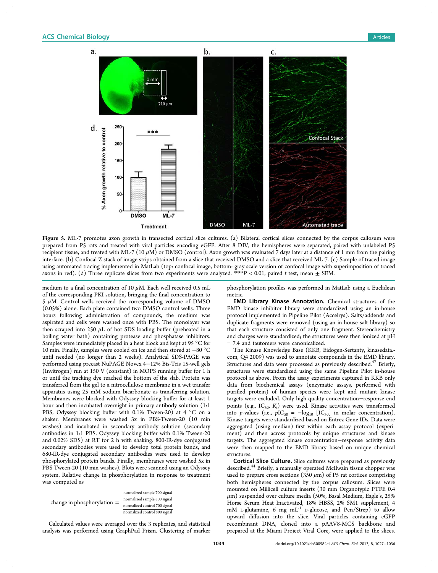<span id="page-7-0"></span>

Figure 5. ML-7 promotes axon growth in transected cortical slice cultures. (a) Bilateral cortical slices connected by the corpus callosum were prepared from P5 rats and treated with viral particles encoding eGFP. After 8 DIV, the hemispheres were separated, paired with unlabeled P5 recipient tissue, and treated with ML-7 (10  $\mu$ M) or DMSO (control). Axon growth was evaluated 7 days later at a distance of 1 mm from the pairing interface. (b) Confocal Z stack of image strips obtained from a slice that received DMSO and a slice that received ML-7. (c) Sample of traced image using automated tracing implemented in MatLab (top: confocal image, bottom: gray scale version of confocal image with superimposition of traced axons in red). (d) Three replicate slices from two experiments were analyzed. \*\*\*P < 0.01, paired t test, mean  $\pm$  SEM.

medium to a final concentration of 10  $\mu$ M. Each well received 0.5 mL of the corresponding PKI solution, bringing the final concentration to  $5 \mu$ M. Control wells received the corresponding volume of DMSO (0.05%) alone. Each plate contained two DMSO control wells. Three hours following administration of compounds, the medium was aspirated and cells were washed once with PBS. The monolayer was then scraped into 250  $\mu$ L of hot SDS loading buffer (preheated in a boiling water bath) containing protease and phosphatase inhibitors. Samples were immediately placed in a heat block and kept at 95 °C for 10 min. Finally, samples were cooled on ice and then stored at −80 °C until needed (no longer than 2 weeks). Analytical SDS-PAGE was performed using precast NuPAGE Novex 4−12% Bis-Tris 15-well gels (Invitrogen) run at 150 V (constant) in MOPS running buffer for 1 h or until the tracking dye reached the bottom of the slab. Protein was transferred from the gel to a nitrocellulose membrane in a wet transfer apparatus using 25 mM sodium bicarbonate as transferring solution. Membranes were blocked with Odyssey blocking buffer for at least 1 hour and then incubated overnight in primary antibody solution (1:1 PBS, Odyssey blocking buffer with 0.1% Tween-20) at 4 °C on a shaker. Membranes were washed 3x in PBS-Tween-20 (10 min washes) and incubated in secondary antibody solution (secondary antibodies in 1:1 PBS, Odyssey blocking buffer with 0.1% Tween-20 and 0.02% SDS) at RT for 2 h with shaking. 800-IR-dye conjugated secondary antibodies were used to develop total protein bands, and 680-IR-dye conjugated secondary antibodies were used to develop phosphorylated protein bands. Finally, membranes were washed 5x in PBS Tween-20 (10 min washes). Blots were scanned using an Odyssey system. Relative change in phosphorylation in response to treatment was computed as

| change in phosphorylation $=$ | normalized sample 700 signal  |
|-------------------------------|-------------------------------|
|                               | normalized sample 800 signal  |
|                               | normalized control 700 signal |
|                               | normalized control 800 signal |

Calculated values were averaged over the 3 replicates, and statistical analysis was performed using GraphPad Prism. Clustering of marker

phosphorylation profiles was performed in MatLab using a Euclidean metric.

EMD Library Kinase Annotation. Chemical structures of the EMD kinase inhibitor library were standardized using an in-house protocol implemented in Pipeline Pilot (Accelrys). Salts/addends and duplicate fragments were removed (using an in-house salt library) so that each structure consisted of only one fragment. Stereochemistry and charges were standardized; the structures were then ionized at pH = 7.4 and tautomers were canonicalized.

The Kinase Knowledge Base (KKB, Eidogen-Sertanty, kinasedata. com, Q4 2009) was used to annotate compounds in the EMD library. Structures and data were processed as previously described.<sup>[47](#page-9-0)</sup> Briefly, structures were standardized using the same Pipeline Pilot in-house protocol as above. From the assay experiments captured in KKB only data from biochemical assays (enzymatic assays, performed with purified protein) of human species were kept and mutant kinase targets were excluded. Only high-quality concentration−response end points (e.g.,  $IC_{50}$ ,  $K_i$ ) were used. Kinase activities were transformed into p-values (i.e.,  $pIC_{50} = -log_{10} [IC_{50}]$  in molar concentration). Kinase targets were standardized based on Entrez Gene IDs. Data were aggregated (using median) first within each assay protocol (experiment) and then across protocols by unique structures and kinase targets. The aggregated kinase concentration−response activity data were then mapped to the EMD library based on unique chemical structures.

Cortical Slice Culture. Slice cultures were prepared as previously described.<sup>[44](#page-9-0)</sup> Briefly, a manually operated McIlwain tissue chopper was used to prepare cross sections (350  $\mu$ m) of P5 rat cortices comprising both hemispheres connected by the corpus callosum. Slices were mounted on Millicell culture inserts (30 mm Organotypic PTFE 0.4  $\mu$ m) suspended over culture media (50%, Basal Medium, Eagle's, 25% Horse Serum Heat Inactivated, 18% HBSS, 2% SM1 supplement, 4 mM L-glutamine, 6 mg  $mL^{-1}$  D-glucose, and Pen/Strep) to allow upward diffusion into the slice. Viral particles containing eGFP recombinant DNA, cloned into a pAAV8-MCS backbone and prepared at the Miami Project Viral Core, were applied to the slices.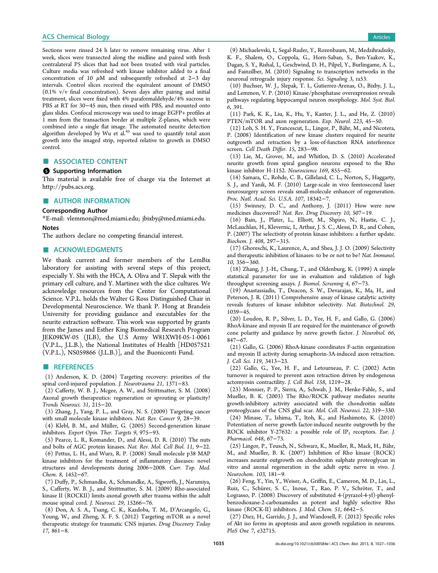<span id="page-8-0"></span>Sections were rinsed 24 h later to remove remaining virus. After 1 week, slices were transected along the midline and paired with fresh contralateral P5 slices that had not been treated with viral particles. Culture media was refreshed with kinase inhibitor added to a final

concentration of 10 μM and subsequently refreshed at 2−3 day intervals. Control slices received the equivalent amount of DMSO (0.1% v/v final concentration). Seven days after pairing and initial treatment, slices were fixed with 4% paraformaldehyde/4% sucrose in PBS at RT for 30−45 min, then rinsed with PBS, and mounted onto glass slides. Confocal microscopy was used to image EGFP+ profiles at 1 mm from the transaction border at multiple Z-planes, which were combined into a single flat image. The automated neurite detection algorithm developed by Wu et al.<sup>[45](#page-9-0)</sup> was used to quantify total axon growth into the imaged strip, reported relative to growth in DMSO control.

## ■ ASSOCIATED CONTENT

## **6** Supporting Information

This material is available free of charge via the Internet at <http://pubs.acs.org>.

## ■ AUTHOR INFORMATION

#### Corresponding Author

\*E-mail: [vlemmon@med.miami.edu;](mailto:vlemmon@med.miami.edu) [jbixby@med.miami.edu](mailto:jbixby@med.miami.edu). **Notes** 

The authors declare no competing financial interest.

#### **ACKNOWLEDGMENTS**

We thank current and former members of the LemBix laboratory for assisting with several steps of this project, especially Y. Shi with the HCA, A. Oliva and T. Slepak with the primary cell culture, and Y. Martinez with the slice cultures. We acknowledge resources from the Center for Computational Science. V.P.L. holds the Walter G Ross Distinguished Chair in Developmental Neuroscience. We thank P. Hong at Brandeis University for providing guidance and executables for the neurite extraction software. This work was supported by grants from the James and Esther King Biomedical Research Program JEK09KW-05 (JLB), the U.S Army W81XWH-05-1-0061 (V.P.L., J.L.B.), the National Institutes of Health [HD057521 (V.P.L.), NS059866 (J.L.B.)], and the Buoniconti Fund.

## ■ REFERENCES

(1) Anderson, K. D. (2004) Targeting recovery: priorities of the spinal cord-injured population. J. Neurotrauma 21, 1371−83.

(2) Cafferty, W. B. J., Mcgee, A. W., and Strittmatter, S. M. (2008) Axonal growth therapeutics: regeneration or sprouting or plasticity? Trends Neurosci. 31, 215−20.

(3) Zhang, J., Yang, P. L., and Gray, N. S. (2009) Targeting cancer with small molecule kinase inhibitors. Nat. Rev. Cancer 9, 28−39.

(4) Klebl, B. M., and Müller, G. (2005) Second-generation kinase inhibitors. Expert Opin. Ther. Targets 9, 975−93.

(5) Pearce, L. R., Komander, D., and Alessi, D. R. (2010) The nuts and bolts of AGC protein kinases. Nat. Rev. Mol. Cell Biol. 11, 9−22.

(6) Pettus, L. H., and Wurz, R. P. (2008) Small molecule p38 MAP kinase inhibitors for the treatment of inflammatory diseases: novel structures and developments during 2006−2008. Curr. Top. Med. Chem. 8, 1452−67.

(7) Duffy, P., Schmandke, A., Schmandke, A., Sigworth, J., Narumiya, S., Cafferty, W. B. J., and Strittmatter, S. M. (2009) Rho-associated kinase II (ROCKII) limits axonal growth after trauma within the adult mouse spinal cord. J. Neurosci. 29, 15266−76.

(8) Don, A. S. A., Tsang, C. K., Kazdoba, T. M., D'Arcangelo, G., Young, W., and Zheng, X. F. S. (2012) Targeting mTOR as a novel therapeutic strategy for traumatic CNS injuries. Drug Discovery Today 17, 861−8.

(9) Michaelevski, I., Segal-Ruder, Y., Rozenbaum, M., Medzihradszky, K. F., Shalem, O., Coppola, G., Horn-Saban, S., Ben-Yaakov, K., Dagan, S. Y., Rishal, I., Geschwind, D. H., Pilpel, Y., Burlingame, A. L., and Fainzilber, M. (2010) Signaling to transcription networks in the neuronal retrograde injury response. Sci. Signaling 3, ra53.

(10) Buchser, W. J., Slepak, T. I., Gutierrez-Arenas, O., Bixby, J. L., and Lemmon, V. P. (2010) Kinase/phosphatase overexpression reveals pathways regulating hippocampal neuron morphology. Mol. Syst. Biol. 6, 391.

(11) Park, K. K., Liu, K., Hu, Y., Kanter, J. L., and He, Z. (2010) PTEN/mTOR and axon regeneration. Exp. Neurol. 223, 45−50.

(12) Loh, S. H. Y., Francescut, L., Lingor, P., Bahr, M., and Nicotera, ̈ P. (2008) Identification of new kinase clusters required for neurite outgrowth and retraction by a loss-of-function RNA interference screen. Cell Death Differ. 15, 283−98.

(13) Lie, M., Grover, M., and Whitlon, D. S. (2010) Accelerated neurite growth from spiral ganglion neurons exposed to the Rho kinase inhibitor H-1152. Neuroscience 169, 855−62.

(14) Samara, C., Rohde, C. B., Gilleland, C. L., Norton, S., Haggarty, S. J., and Yanik, M. F. (2010) Large-scale in vivo femtosecond laser neurosurgery screen reveals small-molecule enhancer of regeneration. Proc. Natl. Acad. Sci. U.S.A. 107, 18342−7.

(15) Swinney, D. C., and Anthony, J. (2011) How were new medicines discovered? Nat. Rev. Drug Discovery 10, 507−19.

(16) Bain, J., Plater, L., Elliott, M., Shpiro, N., Hastie, C. J., McLauchlan, H., Klevernic, I., Arthur, J. S. C., Alessi, D. R., and Cohen, P. (2007) The selectivity of protein kinase inhibitors: a further update. Biochem. J. 408, 297−315.

(17) Ghoreschi, K., Laurence, A., and Shea, J. J. O. (2009) Selectivity and therapeutic inhibition of kinases: to be or not to be? Nat. Immunol. 10, 356−360.

(18) Zhang, J. J.-H., Chung, T., and Oldenburg, K. (1999) A simple statistical parameter for use in evaluation and validation of high throughput screening assays. J. Biomol. Screening 4, 67−73.

(19) Anastassiadis, T., Deacon, S. W., Devarajan, K., Ma, H., and Peterson, J. R. (2011) Comprehensive assay of kinase catalytic activity reveals features of kinase inhibitor selectivity. Nat. Biotechnol. 29, 1039−45.

(20) Loudon, R. P., Silver, L. D., Yee, H. F., and Gallo, G. (2006) RhoA-kinase and myosin II are required for the maintenance of growth cone polarity and guidance by nerve growth factor. J. Neurobiol. 66, 847−67.

(21) Gallo, G. (2006) RhoA-kinase coordinates F-actin organization and myosin II activity during semaphorin-3A-induced axon retraction. J. Cell Sci. 119, 3413−23.

(22) Gallo, G., Yee, H. F., and Letourneau, P. C. (2002) Actin turnover is required to prevent axon retraction driven by endogenous actomyosin contractility. J. Cell Biol. 158, 1219−28.

(23) Monnier, P. P., Sierra, A., Schwab, J. M., Henke-Fahle, S., and Mueller, B. K. (2003) The Rho/ROCK pathway mediates neurite growth-inhibitory activity associated with the chondroitin sulfate proteoglycans of the CNS glial scar. Mol. Cell. Neurosci. 22, 319−330.

(24) Minase, T., Ishima, T., Itoh, K., and Hashimoto, K. (2010) Potentiation of nerve growth factor-induced neurite outgrowth by the ROCK inhibitor Y-27632: a possible role of  $IP_3$  receptors. Eur. J. Pharmacol. 648, 67−73.

(25) Lingor, P., Teusch, N., Schwarz, K., Mueller, R., Mack, H., Bahr, ̈ M., and Mueller, B. K. (2007) Inhibition of Rho kinase (ROCK) increases neurite outgrowth on chondroitin sulphate proteoglycan in vitro and axonal regeneration in the adult optic nerve in vivo. J. Neurochem. 103, 181−9.

(26) Feng, Y., Yin, Y., Weiser, A., Griffin, E., Cameron, M. D., Lin, L., Ruiz, C., Schürer, S. C., Inoue, T., Rao, P. V., Schröter, T., and Lograsso, P. (2008) Discovery of substituted 4-(pyrazol-4-yl)-phenylbenzodioxane-2-carboxamides as potent and highly selective Rho kinase (ROCK-II) inhibitors. J. Med. Chem. 51, 6642−5.

(27) Diez, H., Garrido, J. J., and Wandosell, F. (2012) Specific roles of Akt iso forms in apoptosis and axon growth regulation in neurons. PloS One 7, e32715.